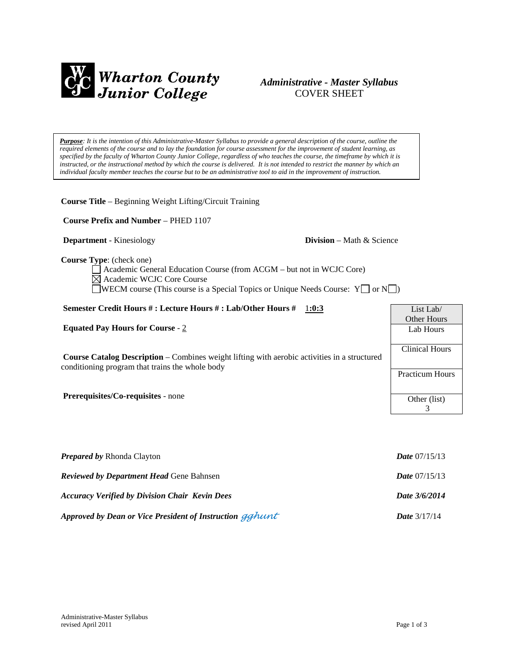

# *Administrative - Master Syllabus*  COVER SHEET

*Purpose: It is the intention of this Administrative-Master Syllabus to provide a general description of the course, outline the required elements of the course and to lay the foundation for course assessment for the improvement of student learning, as specified by the faculty of Wharton County Junior College, regardless of who teaches the course, the timeframe by which it is instructed, or the instructional method by which the course is delivered. It is not intended to restrict the manner by which an individual faculty member teaches the course but to be an administrative tool to aid in the improvement of instruction.*

**Course Title** – Beginning Weight Lifting/Circuit Training

**Course Prefix and Number** – PHED 1107

**Department** - Kinesiology **Division** – Math & Science

**Course Type**: (check one)

Academic General Education Course (from ACGM – but not in WCJC Core) Academic WCJC Core Course  $\Box$ WECM course (This course is a Special Topics or Unique Needs Course: Y $\Box$  or N $\Box$ )

### **Semester Credit Hours # : Lecture Hours # : Lab/Other Hours #** 1**:0:3 Equated Pay Hours for Course** - 2 **Course Catalog Description** – Combines weight lifting with aerobic activities in a structured conditioning program that trains the whole body **Prerequisites/Co-requisites** - none List Lab/ Other Hours Lab Hours Clinical Hours Practicum Hours Other (list) 3

| <b>Prepared by Rhonda Clayton</b>                        | <b>Date</b> $07/15/13$ |
|----------------------------------------------------------|------------------------|
| <b>Reviewed by Department Head Gene Bahnsen</b>          | <b>Date</b> $07/15/13$ |
| <b>Accuracy Verified by Division Chair Kevin Dees</b>    | Date 3/6/2014          |
| Approved by Dean or Vice President of Instruction gghunt | <b>Date</b> $3/17/14$  |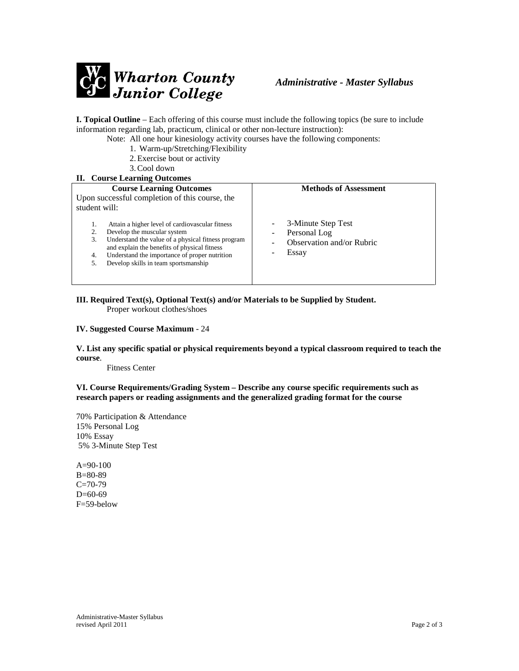

**I. Topical Outline** – Each offering of this course must include the following topics (be sure to include information regarding lab, practicum, clinical or other non-lecture instruction):

- Note: All one hour kinesiology activity courses have the following components:
	- 1. Warm-up/Stretching/Flexibility
	- 2.Exercise bout or activity
	- 3.Cool down

### **II. Course Learning Outcomes**

| m course nearmn outcomes                                                                                                                                                                                                                                                                              |                                                                                                                                |  |
|-------------------------------------------------------------------------------------------------------------------------------------------------------------------------------------------------------------------------------------------------------------------------------------------------------|--------------------------------------------------------------------------------------------------------------------------------|--|
| <b>Course Learning Outcomes</b><br>Upon successful completion of this course, the<br>student will:                                                                                                                                                                                                    | <b>Methods of Assessment</b>                                                                                                   |  |
| Attain a higher level of cardiovascular fitness<br>Develop the muscular system<br>2.<br>Understand the value of a physical fitness program<br>3.<br>and explain the benefits of physical fitness<br>Understand the importance of proper nutrition<br>4.<br>Develop skills in team sportsmanship<br>5. | 3-Minute Step Test<br>$\overline{\phantom{0}}$<br>Personal Log<br>$\qquad \qquad$<br><b>Observation and/or Rubric</b><br>Essay |  |
|                                                                                                                                                                                                                                                                                                       |                                                                                                                                |  |

**III. Required Text(s), Optional Text(s) and/or Materials to be Supplied by Student.** Proper workout clothes/shoes

#### **IV. Suggested Course Maximum** - 24

**V. List any specific spatial or physical requirements beyond a typical classroom required to teach the course**.

Fitness Center

**VI. Course Requirements/Grading System – Describe any course specific requirements such as research papers or reading assignments and the generalized grading format for the course**

70% Participation & Attendance 15% Personal Log 10% Essay 5% 3-Minute Step Test

A=90-100 B=80-89  $C = 70-79$ D=60-69 F=59-below